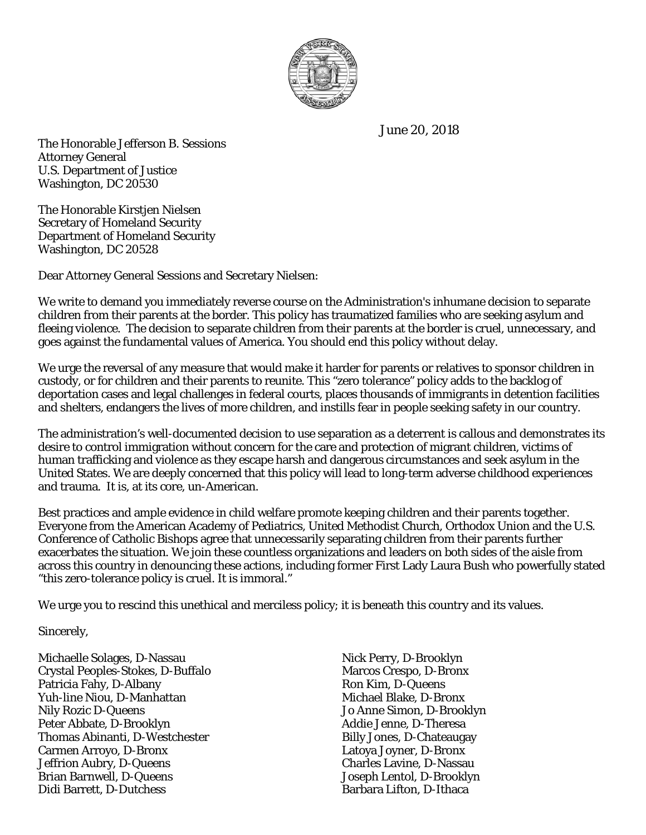

June 20, 2018

The Honorable Jefferson B. Sessions Attorney General U.S. Department of Justice Washington, DC 20530

The Honorable Kirstjen Nielsen Secretary of Homeland Security Department of Homeland Security Washington, DC 20528

Dear Attorney General Sessions and Secretary Nielsen:

We write to demand you immediately reverse course on the Administration's inhumane decision to separate children from their parents at the border. This policy has traumatized families who are seeking asylum and fleeing violence. The decision to separate children from their parents at the border is cruel, unnecessary, and goes against the fundamental values of America. You should end this policy without delay.

We urge the reversal of any measure that would make it harder for parents or relatives to sponsor children in custody, or for children and their parents to reunite. This "zero tolerance" policy adds to the backlog of deportation cases and legal challenges in federal courts, places thousands of immigrants in detention facilities and shelters, endangers the lives of more children, and instills fear in people seeking safety in our country.

The administration's well-documented decision to use separation as a deterrent is callous and demonstrates its desire to control immigration without concern for the care and protection of migrant children, victims of human trafficking and violence as they escape harsh and dangerous circumstances and seek asylum in the United States. We are deeply concerned that this policy will lead to long-term adverse childhood experiences and trauma. It is, at its core, un-American.

Best practices and ample evidence in child welfare promote keeping children and their parents together. Everyone from the American Academy of Pediatrics, United Methodist Church, Orthodox Union and the U.S. Conference of Catholic Bishops agree that unnecessarily separating children from their parents further exacerbates the situation. We join these countless organizations and leaders on both sides of the aisle from across this country in denouncing these actions, including former First Lady Laura Bush who powerfully stated "this zero-tolerance policy is cruel. It is immoral."

We urge you to rescind this unethical and merciless policy; it is beneath this country and its values.

Sincerely,

Michaelle Solages, D-Nassau Nick Perry, D-Brooklyn Crystal Peoples-Stokes, D-Buffalo Marcos Crespo, D-Bronx Patricia Fahy, D-Albany Ron Kim, D-Queens<br>
Yuh-line Niou. D-Manhattan Ron Kim, D-Queens Ron Kim, D-Queens Yuh-line Niou, D-Manhattan Nily Rozic D-Queens Jo Anne Simon, D-Brooklyn Peter Abbate, D-Brooklyn and Addie Jenne, D-Theresa Thomas Abinanti, D-Westchester **Billy Jones, D-Chateaugay** Carmen Arroyo, D-Bronx Latoya Joyner, D-Bronx Jeffrion Aubry, D-Queens<br>Brian Barnwell, D-Queens Charles Lavine, D-Nassau<br>Joseph Lentol, D-Brooklyr Didi Barrett, D-Dutchess Barbara Lifton, D-Ithaca

Joseph Lentol, D-Brooklyn